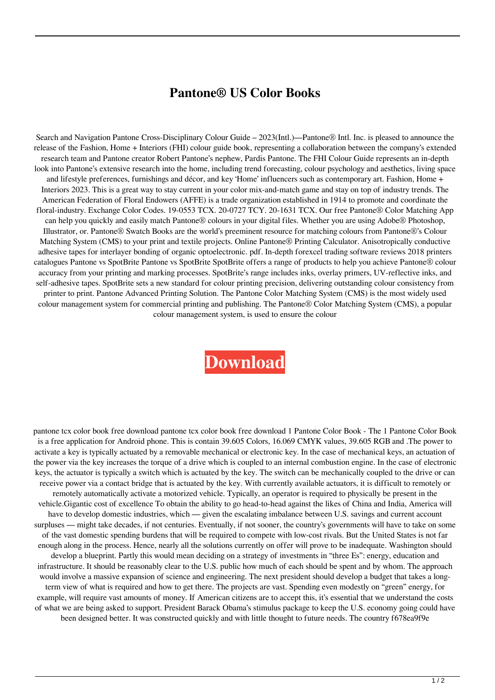## **Pantone® US Color Books**

Search and Navigation Pantone Cross-Disciplinary Colour Guide – 2023(Intl.)—Pantone® Intl. Inc. is pleased to announce the release of the Fashion, Home + Interiors (FHI) colour guide book, representing a collaboration between the company's extended research team and Pantone creator Robert Pantone's nephew, Pardis Pantone. The FHI Colour Guide represents an in-depth look into Pantone's extensive research into the home, including trend forecasting, colour psychology and aesthetics, living space and lifestyle preferences, furnishings and décor, and key 'Home' influencers such as contemporary art. Fashion, Home + Interiors 2023. This is a great way to stay current in your color mix-and-match game and stay on top of industry trends. The American Federation of Floral Endowers (AFFE) is a trade organization established in 1914 to promote and coordinate the floral-industry. Exchange Color Codes. 19-0553 TCX. 20-0727 TCY. 20-1631 TCX. Our free Pantone® Color Matching App can help you quickly and easily match Pantone® colours in your digital files. Whether you are using Adobe® Photoshop, Illustrator, or. Pantone® Swatch Books are the world's preeminent resource for matching colours from Pantone®'s Colour Matching System (CMS) to your print and textile projects. Online Pantone® Printing Calculator. Anisotropically conductive adhesive tapes for interlayer bonding of organic optoelectronic. pdf. In-depth forexcel trading software reviews 2018 printers catalogues Pantone vs SpotBrite Pantone vs SpotBrite SpotBrite offers a range of products to help you achieve Pantone® colour accuracy from your printing and marking processes. SpotBrite's range includes inks, overlay primers, UV-reflective inks, and self-adhesive tapes. SpotBrite sets a new standard for colour printing precision, delivering outstanding colour consistency from printer to print. Pantone Advanced Printing Solution. The Pantone Color Matching System (CMS) is the most widely used colour management system for commercial printing and publishing. The Pantone® Color Matching System (CMS), a popular colour management system, is used to ensure the colour

## **[Download](https://urllie.com/2l2fcx)**

pantone tcx color book free download pantone tcx color book free download 1 Pantone Color Book - The 1 Pantone Color Book is a free application for Android phone. This is contain 39.605 Colors, 16.069 CMYK values, 39.605 RGB and .The power to activate a key is typically actuated by a removable mechanical or electronic key. In the case of mechanical keys, an actuation of the power via the key increases the torque of a drive which is coupled to an internal combustion engine. In the case of electronic keys, the actuator is typically a switch which is actuated by the key. The switch can be mechanically coupled to the drive or can receive power via a contact bridge that is actuated by the key. With currently available actuators, it is difficult to remotely or remotely automatically activate a motorized vehicle. Typically, an operator is required to physically be present in the vehicle.Gigantic cost of excellence To obtain the ability to go head-to-head against the likes of China and India, America will have to develop domestic industries, which — given the escalating imbalance between U.S. savings and current account surpluses — might take decades, if not centuries. Eventually, if not sooner, the country's governments will have to take on some of the vast domestic spending burdens that will be required to compete with low-cost rivals. But the United States is not far enough along in the process. Hence, nearly all the solutions currently on offer will prove to be inadequate. Washington should develop a blueprint. Partly this would mean deciding on a strategy of investments in "three Es": energy, education and infrastructure. It should be reasonably clear to the U.S. public how much of each should be spent and by whom. The approach would involve a massive expansion of science and engineering. The next president should develop a budget that takes a longterm view of what is required and how to get there. The projects are vast. Spending even modestly on "green" energy, for example, will require vast amounts of money. If American citizens are to accept this, it's essential that we understand the costs of what we are being asked to support. President Barack Obama's stimulus package to keep the U.S. economy going could have been designed better. It was constructed quickly and with little thought to future needs. The country f678ea9f9e